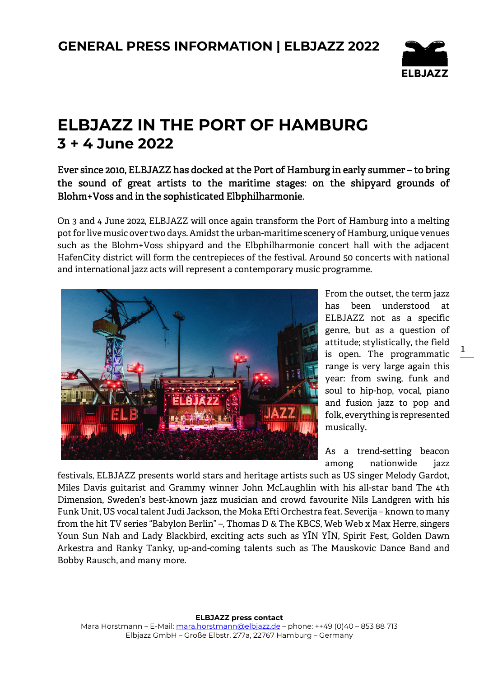

# **ELBJAZZ IN THE PORT OF HAMBURG 3 + 4 June 2022**

### Ever since 2010, ELBJAZZ has docked at the Port of Hamburg in early summer – to bring the sound of great artists to the maritime stages: on the shipyard grounds of Blohm+Voss and in the sophisticated Elbphilharmonie.

On 3 and 4 June 2022, ELBJAZZ will once again transform the Port of Hamburg into a melting pot for live music over two days. Amidst the urban-maritime scenery of Hamburg, unique venues such as the Blohm+Voss shipyard and the Elbphilharmonie concert hall with the adjacent HafenCity district will form the centrepieces of the festival. Around 50 concerts with national and international jazz acts will represent a contemporary music programme.



From the outset, the term jazz has been understood at ELBJAZZ not as a specific genre, but as a question of attitude; stylistically, the field is open. The programmatic range is very large again this year: from swing, funk and soul to hip-hop, vocal, piano and fusion jazz to pop and folk, everything is represented musically.

As a trend-setting beacon among nationwide jazz

festivals, ELBJAZZ presents world stars and heritage artists such as US singer Melody Gardot, Miles Davis guitarist and Grammy winner John McLaughlin with his all-star band The 4th Dimension, Sweden's best-known jazz musician and crowd favourite Nils Landgren with his Funk Unit, US vocal talent Judi Jackson, the Moka Efti Orchestra feat. Severija – known to many from the hit TV series "Babylon Berlin" –, Thomas D & The KBCS, Web Web x Max Herre, singers Youn Sun Nah and Lady Blackbird, exciting acts such as YĪN YĪN, Spirit Fest, Golden Dawn Arkestra and Ranky Tanky, up-and-coming talents such as The Mauskovic Dance Band and Bobby Rausch, and many more.

**ELBJAZZ press contact** 

Mara Horstmann - E-Mail: mara.horstmann@elbjazz.de - phone: ++49 (0)40 - 853 88 713 Elbjazz GmbH – Große Elbstr. 277a, 22767 Hamburg – Germany

1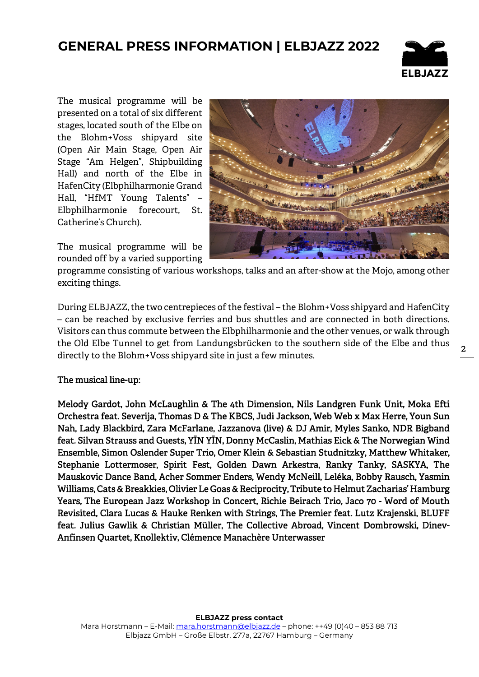### **GENERAL PRESS INFORMATION | ELBJAZZ 2022**



The musical programme will be presented on a total of six different stages, located south of the Elbe on the Blohm+Voss shipyard site (Open Air Main Stage, Open Air Stage "Am Helgen", Shipbuilding Hall) and north of the Elbe in HafenCity (Elbphilharmonie Grand Hall, "HfMT Young Talents" – Elbphilharmonie forecourt, St. Catherine's Church).

The musical programme will be rounded off by a varied supporting



programme consisting of various workshops, talks and an after-show at the Mojo, among other exciting things.

During ELBJAZZ, the two centrepieces of the festival – the Blohm+Voss shipyard and HafenCity – can be reached by exclusive ferries and bus shuttles and are connected in both directions. Visitors can thus commute between the Elbphilharmonie and the other venues, or walk through the Old Elbe Tunnel to get from Landungsbrücken to the southern side of the Elbe and thus directly to the Blohm+Voss shipyard site in just a few minutes.

#### The musical line-up:

Melody Gardot, John McLaughlin & The 4th Dimension, Nils Landgren Funk Unit, Moka Efti Orchestra feat. Severija, Thomas D & The KBCS, Judi Jackson, Web Web x Max Herre, Youn Sun Nah, Lady Blackbird, Zara McFarlane, Jazzanova (live) & DJ Amir, Myles Sanko, NDR Bigband feat. Silvan Strauss and Guests, YĪN YĪN, Donny McCaslin, Mathias Eick & The Norwegian Wind Ensemble, Simon Oslender Super Trio, Omer Klein & Sebastian Studnitzky, Matthew Whitaker, Stephanie Lottermoser, Spirit Fest, Golden Dawn Arkestra, Ranky Tanky, SASKYA, The Mauskovic Dance Band, Acher Sommer Enders, Wendy McNeill, Leléka, Bobby Rausch, Yasmin Williams, Cats & Breakkies, Olivier Le Goas & Reciprocity, Tribute to Helmut Zacharias' Hamburg Years, The European Jazz Workshop in Concert, Richie Beirach Trio, Jaco 70 - Word of Mouth Revisited, Clara Lucas & Hauke Renken with Strings, The Premier feat. Lutz Krajenski, BLUFF feat. Julius Gawlik & Christian Müller, The Collective Abroad, Vincent Dombrowski, Dinev-Anfinsen Quartet, Knollektiv, Clémence Manachère Unterwasser